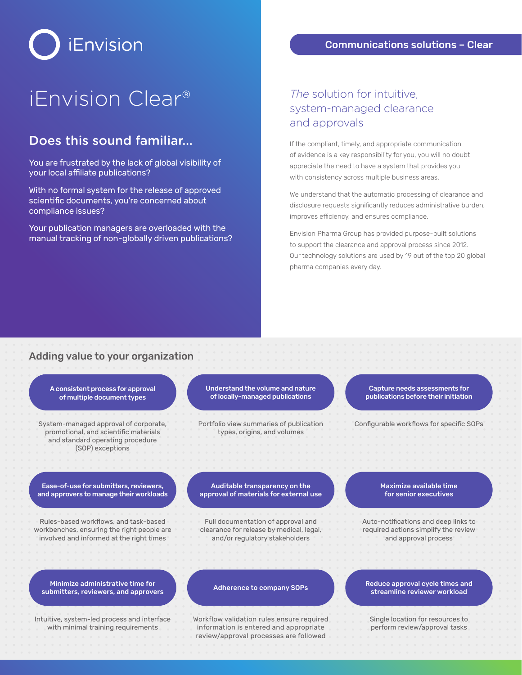### Communications solutions – Clear

# iEnvision

# iEnvision Clear® *The* solution for intuitive,

# Does this sound familiar...

You are frustrated by the lack of global visibility of your local affiliate publications?

With no formal system for the release of approved scientific documents, you're concerned about compliance issues?

Your publication managers are overloaded with the manual tracking of non-globally driven publications?

# system-managed clearance and approvals

If the compliant, timely, and appropriate communication of evidence is a key responsibility for you, you will no doubt appreciate the need to have a system that provides you with consistency across multiple business areas.

We understand that the automatic processing of clearance and disclosure requests significantly reduces administrative burden, improves efficiency, and ensures compliance.

Envision Pharma Group has provided purpose-built solutions to support the clearance and approval process since 2012. Our technology solutions are used by 19 out of the top 20 global pharma companies every day.

# Adding value to your organization

A consistent process for approval of multiple document types

System-managed approval of corporate, promotional, and scientific materials and standard operating procedure (SOP) exceptions

Understand the volume and nature of locally-managed publications

Portfolio view summaries of publication types, origins, and volumes

Capture needs assessments for publications before their initiation

Configurable workflows for specific SOPs

Ease-of-use for submitters, reviewers, and approvers to manage their workloads

Rules-based workflows, and task-based workbenches, ensuring the right people are involved and informed at the right times

Minimize administrative time for submitters, reviewers, and approvers

Intuitive, system-led process and interface with minimal training requirements

#### Auditable transparency on the approval of materials for external use

Full documentation of approval and clearance for release by medical, legal, and/or regulatory stakeholders

Adherence to company SOPs

Workflow validation rules ensure required information is entered and appropriate review/approval processes are followed

Maximize available time for senior executives

Auto-notifications and deep links to required actions simplify the review and approval process

#### Reduce approval cycle times and streamline reviewer workload

Single location for resources to perform review/approval tasks